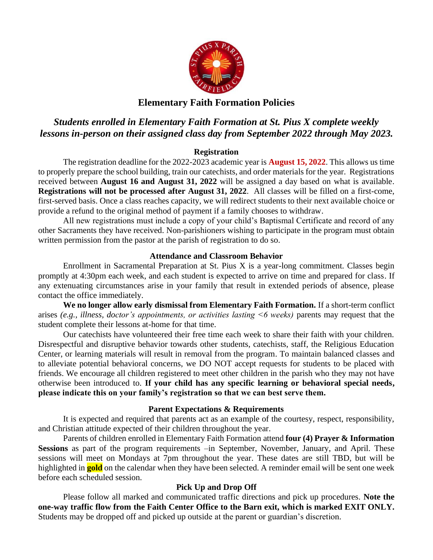

## **Elementary Faith Formation Policies**

# *Students enrolled in Elementary Faith Formation at St. Pius X complete weekly lessons in-person on their assigned class day from September 2022 through May 2023.*

### **Registration**

The registration deadline for the 2022-2023 academic year is **August 15, 2022**. This allows us time to properly prepare the school building, train our catechists, and order materials for the year. Registrations received between **August 16 and August 31, 2022** will be assigned a day based on what is available. **Registrations will not be processed after August 31, 2022**. All classes will be filled on a first-come, first-served basis. Once a class reaches capacity, we will redirect students to their next available choice or provide a refund to the original method of payment if a family chooses to withdraw.

All new registrations must include a copy of your child's Baptismal Certificate and record of any other Sacraments they have received. Non-parishioners wishing to participate in the program must obtain written permission from the pastor at the parish of registration to do so.

#### **Attendance and Classroom Behavior**

Enrollment in Sacramental Preparation at St. Pius X is a year-long commitment. Classes begin promptly at 4:30pm each week, and each student is expected to arrive on time and prepared for class. If any extenuating circumstances arise in your family that result in extended periods of absence, please contact the office immediately.

**We no longer allow early dismissal from Elementary Faith Formation.** If a short-term conflict arises *(e.g., illness, doctor's appointments, or activities lasting <6 weeks)* parents may request that the student complete their lessons at-home for that time.

Our catechists have volunteered their free time each week to share their faith with your children. Disrespectful and disruptive behavior towards other students, catechists, staff, the Religious Education Center, or learning materials will result in removal from the program. To maintain balanced classes and to alleviate potential behavioral concerns, we DO NOT accept requests for students to be placed with friends. We encourage all children registered to meet other children in the parish who they may not have otherwise been introduced to. **If your child has any specific learning or behavioral special needs, please indicate this on your family's registration so that we can best serve them.**

#### **Parent Expectations & Requirements**

It is expected and required that parents act as an example of the courtesy, respect, responsibility, and Christian attitude expected of their children throughout the year.

Parents of children enrolled in Elementary Faith Formation attend **four (4) Prayer & Information Sessions** as part of the program requirements –in September, November, January, and April. These sessions will meet on Mondays at 7pm throughout the year. These dates are still TBD, but will be highlighted in **gold** on the calendar when they have been selected. A reminder email will be sent one week before each scheduled session.

#### **Pick Up and Drop Off**

Please follow all marked and communicated traffic directions and pick up procedures. **Note the one-way traffic flow from the Faith Center Office to the Barn exit, which is marked EXIT ONLY.** Students may be dropped off and picked up outside at the parent or guardian's discretion.